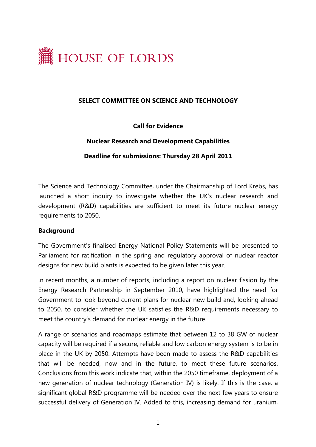

#### **SELECT COMMITTEE ON SCIENCE AND TECHNOLOGY**

**Call for Evidence** 

### **Nuclear Research and Development Capabilities**

**Deadline for submissions: Thursday 28 April 2011** 

The Science and Technology Committee, under the Chairmanship of Lord Krebs, has launched a short inquiry to investigate whether the UK's nuclear research and development (R&D) capabilities are sufficient to meet its future nuclear energy requirements to 2050.

#### **Background**

The Government's finalised Energy National Policy Statements will be presented to Parliament for ratification in the spring and regulatory approval of nuclear reactor designs for new build plants is expected to be given later this year.

In recent months, a number of reports, including a report on nuclear fission by the Energy Research Partnership in September 2010, have highlighted the need for Government to look beyond current plans for nuclear new build and, looking ahead to 2050, to consider whether the UK satisfies the R&D requirements necessary to meet the country's demand for nuclear energy in the future.

A range of scenarios and roadmaps estimate that between 12 to 38 GW of nuclear capacity will be required if a secure, reliable and low carbon energy system is to be in place in the UK by 2050. Attempts have been made to assess the R&D capabilities that will be needed, now and in the future, to meet these future scenarios. Conclusions from this work indicate that, within the 2050 timeframe, deployment of a new generation of nuclear technology (Generation IV) is likely. If this is the case, a significant global R&D programme will be needed over the next few years to ensure successful delivery of Generation IV. Added to this, increasing demand for uranium,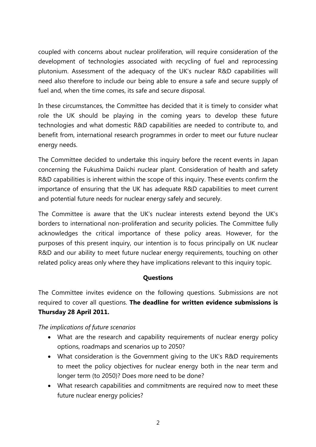coupled with concerns about nuclear proliferation, will require consideration of the development of technologies associated with recycling of fuel and reprocessing plutonium. Assessment of the adequacy of the UK's nuclear R&D capabilities will need also therefore to include our being able to ensure a safe and secure supply of fuel and, when the time comes, its safe and secure disposal.

In these circumstances, the Committee has decided that it is timely to consider what role the UK should be playing in the coming years to develop these future technologies and what domestic R&D capabilities are needed to contribute to, and benefit from, international research programmes in order to meet our future nuclear energy needs.

The Committee decided to undertake this inquiry before the recent events in Japan concerning the Fukushima Daiichi nuclear plant. Consideration of health and safety R&D capabilities is inherent within the scope of this inquiry. These events confirm the importance of ensuring that the UK has adequate R&D capabilities to meet current and potential future needs for nuclear energy safely and securely.

The Committee is aware that the UK's nuclear interests extend beyond the UK's borders to international non-proliferation and security policies. The Committee fully acknowledges the critical importance of these policy areas. However, for the purposes of this present inquiry, our intention is to focus principally on UK nuclear R&D and our ability to meet future nuclear energy requirements, touching on other related policy areas only where they have implications relevant to this inquiry topic.

### **Questions**

The Committee invites evidence on the following questions. Submissions are not required to cover all questions. **The deadline for written evidence submissions is Thursday 28 April 2011.** 

### *The implications of future scenarios*

- What are the research and capability requirements of nuclear energy policy options, roadmaps and scenarios up to 2050?
- What consideration is the Government giving to the UK's R&D requirements to meet the policy objectives for nuclear energy both in the near term and longer term (to 2050)? Does more need to be done?
- What research capabilities and commitments are required now to meet these future nuclear energy policies?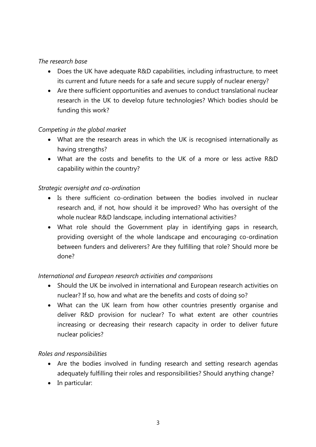# *The research base*

- Does the UK have adequate R&D capabilities, including infrastructure, to meet its current and future needs for a safe and secure supply of nuclear energy?
- Are there sufficient opportunities and avenues to conduct translational nuclear research in the UK to develop future technologies? Which bodies should be funding this work?

# *Competing in the global market*

- What are the research areas in which the UK is recognised internationally as having strengths?
- What are the costs and benefits to the UK of a more or less active R&D capability within the country?

# *Strategic oversight and co-ordination*

- Is there sufficient co-ordination between the bodies involved in nuclear research and, if not, how should it be improved? Who has oversight of the whole nuclear R&D landscape, including international activities?
- What role should the Government play in identifying gaps in research, providing oversight of the whole landscape and encouraging co-ordination between funders and deliverers? Are they fulfilling that role? Should more be done?

# *International and European research activities and comparisons*

- Should the UK be involved in international and European research activities on nuclear? If so, how and what are the benefits and costs of doing so?
- What can the UK learn from how other countries presently organise and deliver R&D provision for nuclear? To what extent are other countries increasing or decreasing their research capacity in order to deliver future nuclear policies?

### *Roles and responsibilities*

- Are the bodies involved in funding research and setting research agendas adequately fulfilling their roles and responsibilities? Should anything change?
- In particular: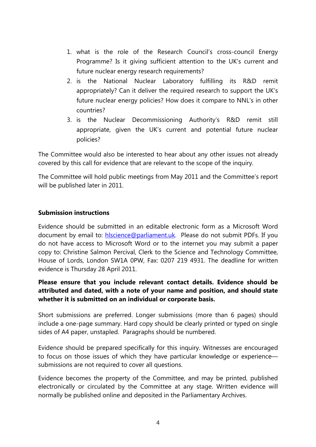- 1. what is the role of the Research Council's cross-council Energy Programme? Is it giving sufficient attention to the UK's current and future nuclear energy research requirements?
- 2. is the National Nuclear Laboratory fulfilling its R&D remit appropriately? Can it deliver the required research to support the UK's future nuclear energy policies? How does it compare to NNL's in other countries?
- 3. is the Nuclear Decommissioning Authority's R&D remit still appropriate, given the UK's current and potential future nuclear policies?

The Committee would also be interested to hear about any other issues not already covered by this call for evidence that are relevant to the scope of the inquiry.

The Committee will hold public meetings from May 2011 and the Committee's report will be published later in 2011.

### **Submission instructions**

Evidence should be submitted in an editable electronic form as a Microsoft Word document by email to: [hlscience@parliament.uk.](mailto:hlscience@parliament.uk) Please do not submit PDFs. If you do not have access to Microsoft Word or to the internet you may submit a paper copy to: Christine Salmon Percival, Clerk to the Science and Technology Committee, House of Lords, London SW1A 0PW, Fax: 0207 219 4931. The deadline for written evidence is Thursday 28 April 2011.

### **Please ensure that you include relevant contact details. Evidence should be attributed and dated, with a note of your name and position, and should state whether it is submitted on an individual or corporate basis.**

Short submissions are preferred. Longer submissions (more than 6 pages) should include a one-page summary. Hard copy should be clearly printed or typed on single sides of A4 paper, unstapled. Paragraphs should be numbered.

Evidence should be prepared specifically for this inquiry. Witnesses are encouraged to focus on those issues of which they have particular knowledge or experience submissions are not required to cover all questions.

Evidence becomes the property of the Committee, and may be printed, published electronically or circulated by the Committee at any stage. Written evidence will normally be published online and deposited in the Parliamentary Archives.